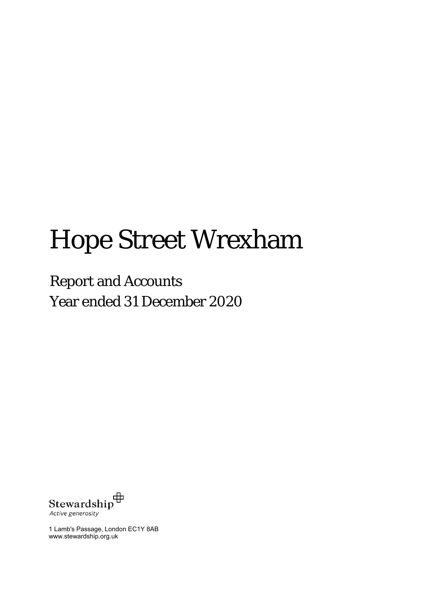# Hope Street Wrexham

Year ended 31 December 2020 Report and Accounts



1 Lamb's Passage, London EC1Y 8AB www.stewardship.org.uk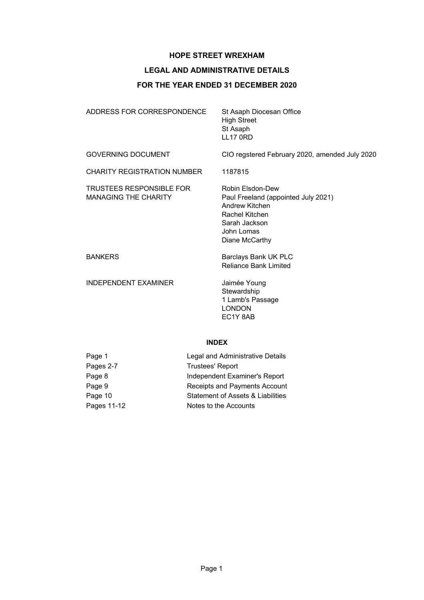# **LEGAL AND ADMINISTRATIVE DETAILS**

# **FOR THE YEAR ENDED 31 DECEMBER 2020**

| ADDRESS FOR CORRESPONDENCE                                     | St Asaph Diocesan Office<br><b>High Street</b><br>St Asaph<br><b>LL17 0RD</b>                                                                |
|----------------------------------------------------------------|----------------------------------------------------------------------------------------------------------------------------------------------|
| <b>GOVERNING DOCUMENT</b>                                      | CIO regstered February 2020, amended July 2020                                                                                               |
| <b>CHARITY REGISTRATION NUMBER</b>                             | 1187815                                                                                                                                      |
| <b>TRUSTEES RESPONSIBLE FOR</b><br><b>MANAGING THE CHARITY</b> | Robin Elsdon-Dew<br>Paul Freeland (appointed July 2021)<br>Andrew Kitchen<br>Rachel Kitchen<br>Sarah Jackson<br>John Lomas<br>Diane McCarthy |
| <b>BANKERS</b>                                                 | Barclays Bank UK PLC<br><b>Reliance Bank Limited</b>                                                                                         |
| <b>INDEPENDENT EXAMINER</b>                                    | Jaimée Young<br>Stewardship<br>1 Lamb's Passage<br><b>LONDON</b><br>EC1Y 8AB                                                                 |

# **INDEX**

| Page 1      | Legal and Administrative Details  |
|-------------|-----------------------------------|
| Pages 2-7   | <b>Trustees' Report</b>           |
| Page 8      | Independent Examiner's Report     |
| Page 9      | Receipts and Payments Account     |
| Page 10     | Statement of Assets & Liabilities |
| Pages 11-12 | Notes to the Accounts             |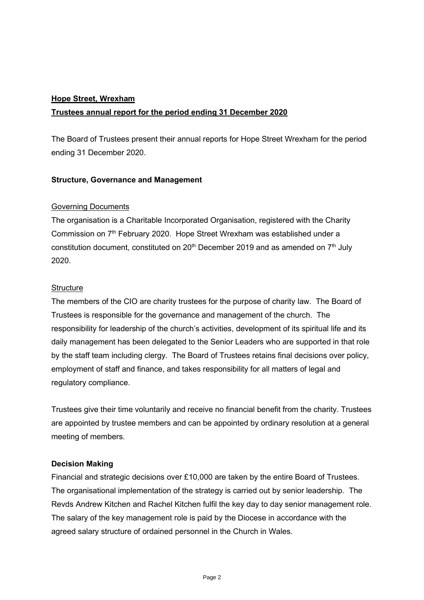# **Hope Street, Wrexham Trustees annual report for the period ending 31 December 2020**

The Board of Trustees present their annual reports for Hope Street Wrexham for the period ending 31 December 2020.

# **Structure, Governance and Management**

# Governing Documents

The organisation is a Charitable Incorporated Organisation, registered with the Charity Commission on 7<sup>th</sup> February 2020. Hope Street Wrexham was established under a constitution document, constituted on  $20<sup>th</sup>$  December 2019 and as amended on  $7<sup>th</sup>$  July 2020.

# **Structure**

The members of the CIO are charity trustees for the purpose of charity law. The Board of Trustees is responsible for the governance and management of the church. The responsibility for leadership of the church's activities, development of its spiritual life and its daily management has been delegated to the Senior Leaders who are supported in that role by the staff team including clergy. The Board of Trustees retains final decisions over policy, employment of staff and finance, and takes responsibility for all matters of legal and regulatory compliance.

Trustees give their time voluntarily and receive no financial benefit from the charity. Trustees are appointed by trustee members and can be appointed by ordinary resolution at a general meeting of members.

# **Decision Making**

Financial and strategic decisions over £10,000 are taken by the entire Board of Trustees. The organisational implementation of the strategy is carried out by senior leadership. The Revds Andrew Kitchen and Rachel Kitchen fulfil the key day to day senior management role. The salary of the key management role is paid by the Diocese in accordance with the agreed salary structure of ordained personnel in the Church in Wales.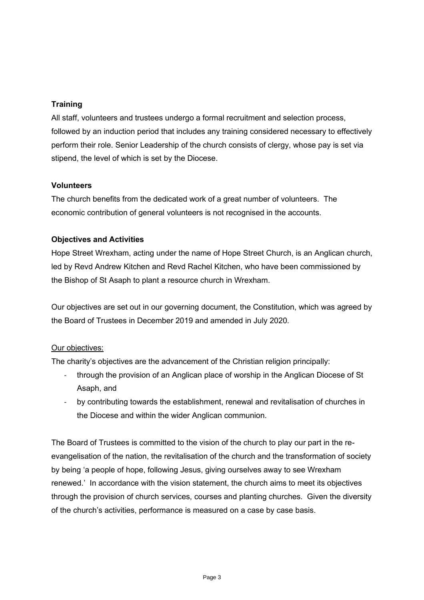# **Training**

All staff, volunteers and trustees undergo a formal recruitment and selection process, followed by an induction period that includes any training considered necessary to effectively perform their role. Senior Leadership of the church consists of clergy, whose pay is set via stipend, the level of which is set by the Diocese.

# **Volunteers**

The church benefits from the dedicated work of a great number of volunteers. The economic contribution of general volunteers is not recognised in the accounts.

# **Objectives and Activities**

Hope Street Wrexham, acting under the name of Hope Street Church, is an Anglican church, led by Revd Andrew Kitchen and Revd Rachel Kitchen, who have been commissioned by the Bishop of St Asaph to plant a resource church in Wrexham.

Our objectives are set out in our governing document, the Constitution, which was agreed by the Board of Trustees in December 2019 and amended in July 2020.

# Our objectives:

The charity's objectives are the advancement of the Christian religion principally:

- through the provision of an Anglican place of worship in the Anglican Diocese of St Asaph, and
- by contributing towards the establishment, renewal and revitalisation of churches in the Diocese and within the wider Anglican communion.

The Board of Trustees is committed to the vision of the church to play our part in the reevangelisation of the nation, the revitalisation of the church and the transformation of society by being 'a people of hope, following Jesus, giving ourselves away to see Wrexham renewed.' In accordance with the vision statement, the church aims to meet its objectives through the provision of church services, courses and planting churches. Given the diversity of the church's activities, performance is measured on a case by case basis.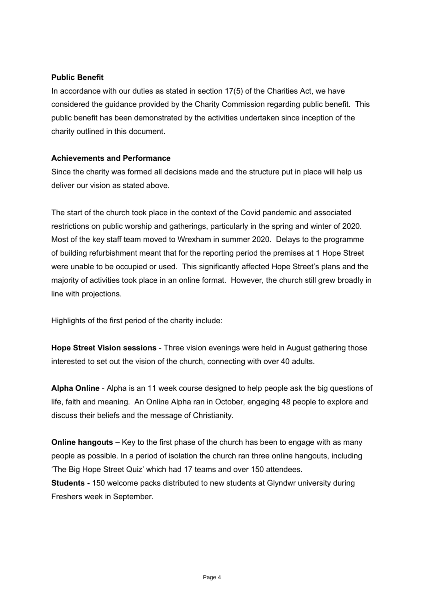# **Public Benefit**

In accordance with our duties as stated in section 17(5) of the Charities Act, we have considered the guidance provided by the Charity Commission regarding public benefit. This public benefit has been demonstrated by the activities undertaken since inception of the charity outlined in this document.

# **Achievements and Performance**

Since the charity was formed all decisions made and the structure put in place will help us deliver our vision as stated above.

The start of the church took place in the context of the Covid pandemic and associated restrictions on public worship and gatherings, particularly in the spring and winter of 2020. Most of the key staff team moved to Wrexham in summer 2020. Delays to the programme of building refurbishment meant that for the reporting period the premises at 1 Hope Street were unable to be occupied or used. This significantly affected Hope Street's plans and the majority of activities took place in an online format. However, the church still grew broadly in line with projections.

Highlights of the first period of the charity include:

**Hope Street Vision sessions** - Three vision evenings were held in August gathering those interested to set out the vision of the church, connecting with over 40 adults.

**Alpha Online** - Alpha is an 11 week course designed to help people ask the big questions of life, faith and meaning. An Online Alpha ran in October, engaging 48 people to explore and discuss their beliefs and the message of Christianity.

**Online hangouts –** Key to the first phase of the church has been to engage with as many people as possible. In a period of isolation the church ran three online hangouts, including 'The Big Hope Street Quiz' which had 17 teams and over 150 attendees. **Students -** 150 welcome packs distributed to new students at Glyndwr university during Freshers week in September.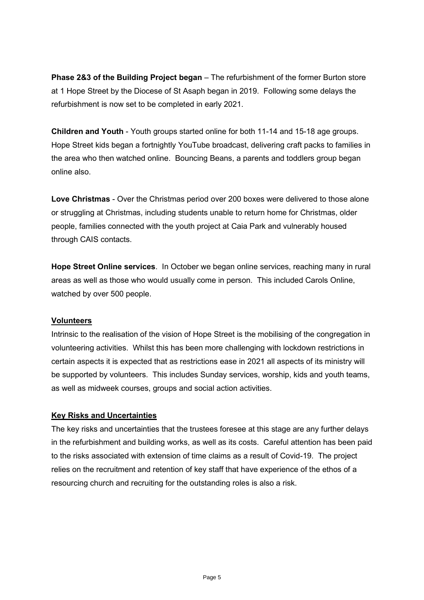**Phase 2&3 of the Building Project began** – The refurbishment of the former Burton store at 1 Hope Street by the Diocese of St Asaph began in 2019. Following some delays the refurbishment is now set to be completed in early 2021.

**Children and Youth** - Youth groups started online for both 11-14 and 15-18 age groups. Hope Street kids began a fortnightly YouTube broadcast, delivering craft packs to families in the area who then watched online. Bouncing Beans, a parents and toddlers group began online also.

**Love Christmas** - Over the Christmas period over 200 boxes were delivered to those alone or struggling at Christmas, including students unable to return home for Christmas, older people, families connected with the youth project at Caia Park and vulnerably housed through CAIS contacts.

**Hope Street Online services**. In October we began online services, reaching many in rural areas as well as those who would usually come in person. This included Carols Online, watched by over 500 people.

# **Volunteers**

Intrinsic to the realisation of the vision of Hope Street is the mobilising of the congregation in volunteering activities. Whilst this has been more challenging with lockdown restrictions in certain aspects it is expected that as restrictions ease in 2021 all aspects of its ministry will be supported by volunteers. This includes Sunday services, worship, kids and youth teams, as well as midweek courses, groups and social action activities.

# **Key Risks and Uncertainties**

The key risks and uncertainties that the trustees foresee at this stage are any further delays in the refurbishment and building works, as well as its costs. Careful attention has been paid to the risks associated with extension of time claims as a result of Covid-19. The project relies on the recruitment and retention of key staff that have experience of the ethos of a resourcing church and recruiting for the outstanding roles is also a risk.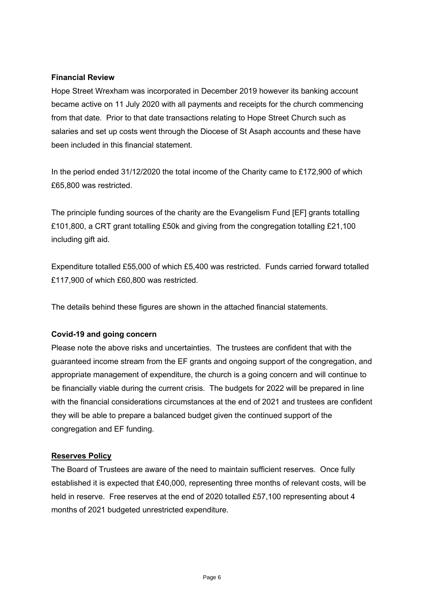# **Financial Review**

Hope Street Wrexham was incorporated in December 2019 however its banking account became active on 11 July 2020 with all payments and receipts for the church commencing from that date. Prior to that date transactions relating to Hope Street Church such as salaries and set up costs went through the Diocese of St Asaph accounts and these have been included in this financial statement.

In the period ended 31/12/2020 the total income of the Charity came to £172,900 of which £65,800 was restricted.

The principle funding sources of the charity are the Evangelism Fund [EF] grants totalling £101,800, a CRT grant totalling £50k and giving from the congregation totalling £21,100 including gift aid.

Expenditure totalled £55,000 of which £5,400 was restricted. Funds carried forward totalled £117,900 of which £60,800 was restricted.

The details behind these figures are shown in the attached financial statements.

# **Covid-19 and going concern**

Please note the above risks and uncertainties. The trustees are confident that with the guaranteed income stream from the EF grants and ongoing support of the congregation, and appropriate management of expenditure, the church is a going concern and will continue to be financially viable during the current crisis. The budgets for 2022 will be prepared in line with the financial considerations circumstances at the end of 2021 and trustees are confident they will be able to prepare a balanced budget given the continued support of the congregation and EF funding.

# **Reserves Policy**

The Board of Trustees are aware of the need to maintain sufficient reserves. Once fully established it is expected that £40,000, representing three months of relevant costs, will be held in reserve. Free reserves at the end of 2020 totalled £57,100 representing about 4 months of 2021 budgeted unrestricted expenditure.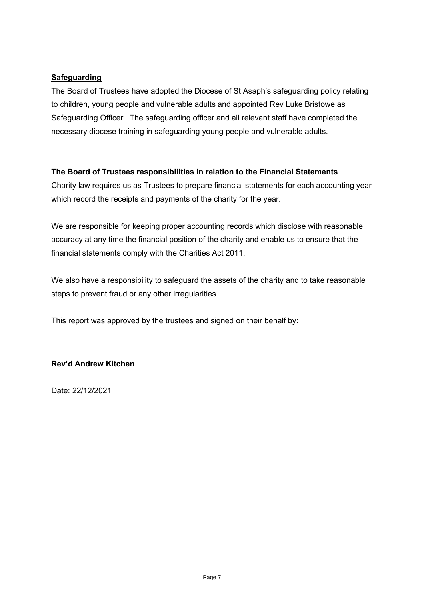# **Safeguarding**

The Board of Trustees have adopted the Diocese of St Asaph's safeguarding policy relating to children, young people and vulnerable adults and appointed Rev Luke Bristowe as Safeguarding Officer. The safeguarding officer and all relevant staff have completed the necessary diocese training in safeguarding young people and vulnerable adults.

# **The Board of Trustees responsibilities in relation to the Financial Statements**

Charity law requires us as Trustees to prepare financial statements for each accounting year which record the receipts and payments of the charity for the year.

We are responsible for keeping proper accounting records which disclose with reasonable accuracy at any time the financial position of the charity and enable us to ensure that the financial statements comply with the Charities Act 2011.

We also have a responsibility to safeguard the assets of the charity and to take reasonable steps to prevent fraud or any other irregularities.

This report was approved by the trustees and signed on their behalf by:

# **Rev'd Andrew Kitchen**

Date: 22/12/2021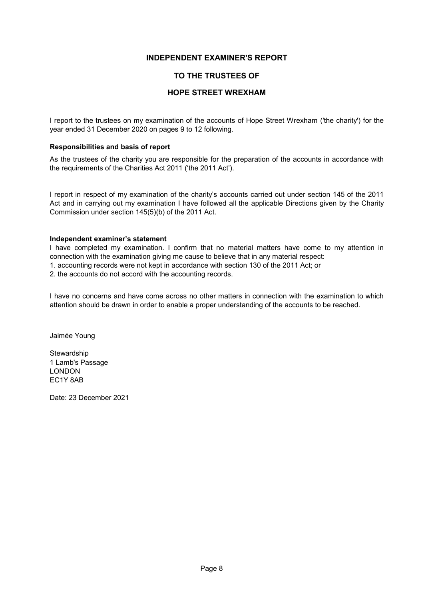## **INDEPENDENT EXAMINER'S REPORT**

## **TO THE TRUSTEES OF**

## **HOPE STREET WREXHAM**

I report to the trustees on my examination of the accounts of Hope Street Wrexham ('the charity') for the year ended 31 December 2020 on pages 9 to 12 following.

## **Responsibilities and basis of report**

As the trustees of the charity you are responsible for the preparation of the accounts in accordance with the requirements of the Charities Act 2011 ('the 2011 Act').

I report in respect of my examination of the charity's accounts carried out under section 145 of the 2011 Act and in carrying out my examination I have followed all the applicable Directions given by the Charity Commission under section 145(5)(b) of the 2011 Act.

### **Independent examiner's statement**

I have completed my examination. I confirm that no material matters have come to my attention in connection with the examination giving me cause to believe that in any material respect:

1. accounting records were not kept in accordance with section 130 of the 2011 Act; or

2. the accounts do not accord with the accounting records.

I have no concerns and have come across no other matters in connection with the examination to which attention should be drawn in order to enable a proper understanding of the accounts to be reached.

Jaimée Young

Stewardship 1 Lamb's Passage LONDON EC1Y 8AB

Date: 23 December 2021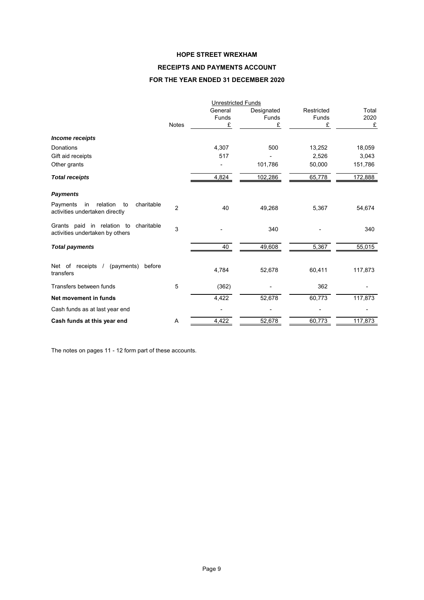## **RECEIPTS AND PAYMENTS ACCOUNT**

## **FOR THE YEAR ENDED 31 DECEMBER 2020**

|                                                                                  |                | <b>Unrestricted Funds</b> |              |            |         |  |
|----------------------------------------------------------------------------------|----------------|---------------------------|--------------|------------|---------|--|
|                                                                                  |                | General                   | Designated   | Restricted | Total   |  |
|                                                                                  |                | Funds                     | <b>Funds</b> | Funds      | 2020    |  |
|                                                                                  | <b>Notes</b>   | £                         | £            | £          | £       |  |
| <b>Income receipts</b>                                                           |                |                           |              |            |         |  |
| Donations                                                                        |                | 4,307                     | 500          | 13,252     | 18,059  |  |
| Gift aid receipts                                                                |                | 517                       |              | 2,526      | 3,043   |  |
| Other grants                                                                     |                |                           | 101,786      | 50,000     | 151,786 |  |
| <b>Total receipts</b>                                                            |                | 4,824                     | 102,286      | 65,778     | 172,888 |  |
| <b>Payments</b>                                                                  |                |                           |              |            |         |  |
| relation<br>charitable<br>Payments<br>in<br>to<br>activities undertaken directly | $\overline{2}$ | 40                        | 49,268       | 5,367      | 54,674  |  |
| Grants paid in relation to<br>charitable<br>activities undertaken by others      | 3              |                           | 340          |            | 340     |  |
| <b>Total payments</b>                                                            |                | 40                        | 49,608       | 5,367      | 55,015  |  |
| Net of receipts<br>(payments)<br>before<br>$\sqrt{ }$<br>transfers               |                | 4,784                     | 52,678       | 60,411     | 117,873 |  |
| Transfers between funds                                                          | 5              | (362)                     |              | 362        |         |  |
| Net movement in funds                                                            |                | 4,422                     | 52,678       | 60,773     | 117,873 |  |
| Cash funds as at last year end                                                   |                |                           |              |            |         |  |
| Cash funds at this year end                                                      | Α              | 4,422                     | 52,678       | 60,773     | 117,873 |  |

The notes on pages 11 - 12 form part of these accounts.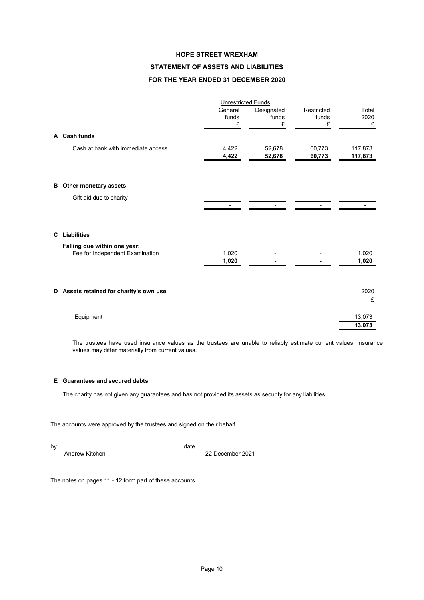## **STATEMENT OF ASSETS AND LIABILITIES**

## **FOR THE YEAR ENDED 31 DECEMBER 2020**

|    | <b>Unrestricted Funds</b>                                       |                       |                          |                          |                    |  |
|----|-----------------------------------------------------------------|-----------------------|--------------------------|--------------------------|--------------------|--|
|    |                                                                 | General<br>funds<br>£ | Designated<br>funds<br>£ | Restricted<br>funds<br>£ | Total<br>2020<br>£ |  |
|    | A Cash funds                                                    |                       |                          |                          |                    |  |
|    | Cash at bank with immediate access                              | 4,422<br>4,422        | 52,678<br>52,678         | 60,773<br>60,773         | 117,873<br>117,873 |  |
| в  | Other monetary assets                                           |                       |                          |                          |                    |  |
|    | Gift aid due to charity                                         |                       |                          |                          |                    |  |
| C. | Liabilities                                                     |                       |                          |                          |                    |  |
|    | Falling due within one year:<br>Fee for Independent Examination | 1,020<br>1,020        |                          |                          | 1,020<br>1,020     |  |
|    | D Assets retained for charity's own use                         |                       |                          |                          | 2020<br>£          |  |
|    | Equipment                                                       |                       |                          |                          | 13,073<br>13.073   |  |

The trustees have used insurance values as the trustees are unable to reliably estimate current values; insurance values may differ materially from current values.

## **E Guarantees and secured debts**

The charity has not given any guarantees and has not provided its assets as security for any liabilities.

The accounts were approved by the trustees and signed on their behalf

by date and the control of the control of the control of the control of the control of the control of the control of the control of the control of the control of the control of the control of the control of the control of

Andrew Kitchen 2021 **22 December 2021** 

The notes on pages 11 - 12 form part of these accounts.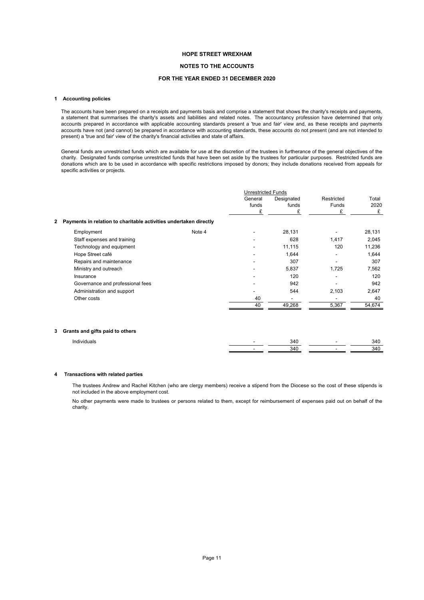#### **NOTES TO THE ACCOUNTS**

#### **FOR THE YEAR ENDED 31 DECEMBER 2020**

#### **1 Accounting policies**

The accounts have been prepared on a receipts and payments basis and comprise a statement that shows the charity's receipts and payments, a statement that summarises the charity's assets and liabilities and related notes. The accountancy profession have determined that only accounts prepared in accordance with applicable accounting standards present a 'true and fair' view and, as these receipts and payments accounts have not (and cannot) be prepared in accordance with accounting standards, these accounts do not present (and are not intended to present) a 'true and fair' view of the charity's financial activities and state of affairs.

General funds are unrestricted funds which are available for use at the discretion of the trustees in furtherance of the general objectives of the charity. Designated funds comprise unrestricted funds that have been set aside by the trustees for particular purposes. Restricted funds are donations which are to be used in accordance with specific restrictions imposed by donors; they include donations received from appeals for specific activities or projects.

|                                                                   |        | <b>Unrestricted Funds</b> |                     |                     |               |
|-------------------------------------------------------------------|--------|---------------------------|---------------------|---------------------|---------------|
|                                                                   |        | General<br>funds          | Designated<br>funds | Restricted<br>Funds | Total<br>2020 |
|                                                                   |        | £                         | £                   | £                   | £             |
| Payments in relation to charitable activities undertaken directly |        |                           |                     |                     |               |
| Employment                                                        | Note 4 |                           | 28,131              |                     | 28,131        |
| Staff expenses and training                                       |        | ۰                         | 628                 | 1,417               | 2,045         |
| Technology and equipment                                          |        |                           | 11,115              | 120                 | 11,236        |
| Hope Street café                                                  |        |                           | 1,644               |                     | 1,644         |
| Repairs and maintenance                                           |        | -                         | 307                 |                     | 307           |
| Ministry and outreach                                             |        |                           | 5,837               | 1,725               | 7,562         |
| Insurance                                                         |        |                           | 120                 |                     | 120           |
| Governance and professional fees                                  |        |                           | 942                 |                     | 942           |
| Administration and support                                        |        |                           | 544                 | 2,103               | 2,647         |
| Other costs                                                       |        | 40                        | -                   |                     | 40            |
|                                                                   |        | 40                        | 49,268              | 5,367               | 54,674        |

#### **3 Grants and gifts paid to others**

| In, |  |  |
|-----|--|--|
|     |  |  |

#### **4 Transactions with related parties**

The trustees Andrew and Rachel Kitchen (who are clergy members) receive a stipend from the Diocese so the cost of these stipends is not included in the above employment cost.

No other payments were made to trustees or persons related to them, except for reimbursement of expenses paid out on behalf of the charity.